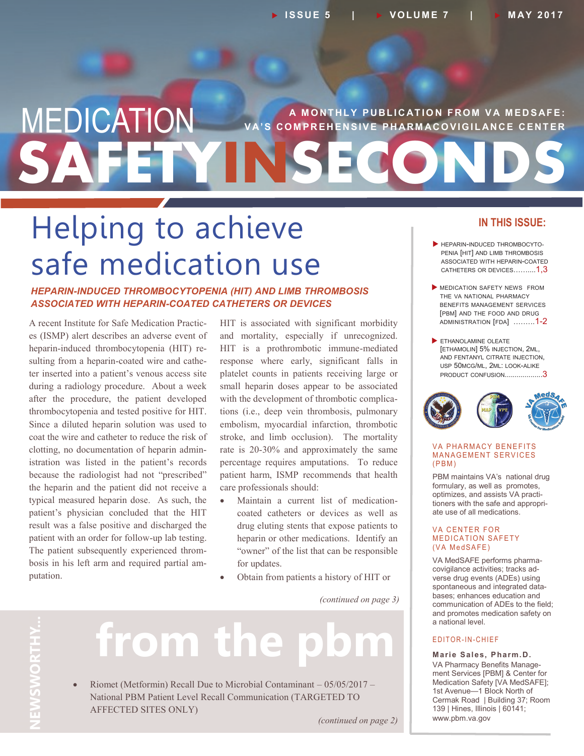## **SAFETYINSECONDS MEDICATION** VA'S COMPREHENSIVE PHARMACOVIGILANCE CENTER **V A' S C O M P R E H E N S I V E P H AR M AC O V I G I L AN C E C E N T E R**

# Helping to achieve safe medication use

#### *HEPARIN-INDUCED THROMBOCYTOPENIA (HIT) AND LIMB THROMBOSIS ASSOCIATED WITH HEPARIN-COATED CATHETERS OR DEVICES*

A recent Institute for Safe Medication Practices (ISMP) alert describes an adverse event of heparin-induced thrombocytopenia (HIT) resulting from a heparin-coated wire and catheter inserted into a patient's venous access site during a radiology procedure. About a week after the procedure, the patient developed thrombocytopenia and tested positive for HIT. Since a diluted heparin solution was used to coat the wire and catheter to reduce the risk of clotting, no documentation of heparin administration was listed in the patient's records because the radiologist had not "prescribed" the heparin and the patient did not receive a typical measured heparin dose. As such, the patient's physician concluded that the HIT result was a false positive and discharged the patient with an order for follow-up lab testing. The patient subsequently experienced thrombosis in his left arm and required partial amputation.

HIT is associated with significant morbidity and mortality, especially if unrecognized. HIT is a prothrombotic immune-mediated response where early, significant falls in platelet counts in patients receiving large or small heparin doses appear to be associated with the development of thrombotic complications (i.e., deep vein thrombosis, pulmonary embolism, myocardial infarction, thrombotic stroke, and limb occlusion). The mortality rate is 20-30% and approximately the same percentage requires amputations. To reduce patient harm, ISMP recommends that health care professionals should:

- Maintain a current list of medicationcoated catheters or devices as well as drug eluting stents that expose patients to heparin or other medications. Identify an "owner" of the list that can be responsible for updates.
- Obtain from patients a history of HIT or

*(continued on page 3)*

# **NEWSWORTHY NEWSWORTHY...**  $\overline{\text{C}}$

# from the

 Riomet (Metformin) Recall Due to Microbial Contaminant – 05/05/2017 – National PBM Patient Level Recall Communication (TARGETED TO AFFECTED SITES ONLY)

*(continued on page 2)*

#### **IN THIS ISSUE:**

- **HEPARIN-INDUCED THROMBOCYTO-**PENIA [HIT] AND LIMB THROMBOSIS ASSOCIATED WITH HEPARIN-COATED CATHETERS OR DEVICES……....1,3
- **MEDICATION SAFETY NEWS FROM** THE VA NATIONAL PHARMACY BENEFITS MANAGEMENT SERVICES [PBM] AND THE FOOD AND DRUG ADMINISTRATION [FDA] .……..1-2
- ETHANOLAMINE OLEATE [ETHAMOLIN] 5% INJECTION, 2ML, AND FENTANYL CITRATE INJECTION, USP 50MCG/ML, 2ML: LOOK-ALIKE PRODUCT CONFUSION...................3



#### **VA PHARMACY BENEFITS MANAGEMENT SERVICES**  $(PBM)$

PBM maintains VA's national drug formulary, as well as promotes, optimizes, and assists VA practitioners with the safe and appropriate use of all medications.

#### **VA CENTER FOR MEDICATION SAFETY** (VA MedSAFE)

VA MedSAFE performs pharmacovigilance activities; tracks adverse drug events (ADEs) using spontaneous and integrated databases; enhances education and communication of ADEs to the field; and promotes medication safety on a national level.

#### E D I T O R - I N - C H I E F

**Marie Sales, Pharm.D.** VA Pharmacy Benefits Management Services [PBM] & Center for Medication Safety [VA MedSAFE]; 1st Avenue—1 Block North of Cermak Road | Building 37; Room 139 | Hines, Illinois | 60141; www.pbm.va.gov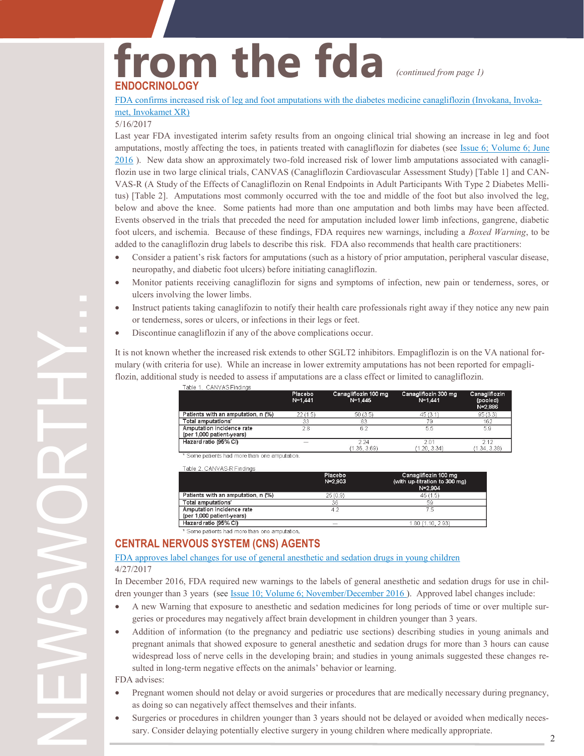#### **from the fda ENDOCRINOLOGY** *(continued from page 1)*

#### [FDA confirms increased risk of leg and foot amputations with the diabetes medicine canagliflozin \(Invokana, Invoka](https://www.fda.gov/Drugs/DrugSafety/ucm557507.htm)[met, Invokamet XR\)](https://www.fda.gov/Drugs/DrugSafety/ucm557507.htm)

#### 5/16/2017

Last year FDA investigated interim safety results from an ongoing clinical trial showing an increase in leg and foot amputations, mostly affecting the toes, in patients treated with canagliflozin for diabetes (see [Issue 6; Volume 6; June](https://www.pbm.va.gov/PBM/vacenterformedicationsafety/newsletter/Medication_Safety_in_Seconds_June_2016_FINAL.pdf)  [2016](https://www.pbm.va.gov/PBM/vacenterformedicationsafety/newsletter/Medication_Safety_in_Seconds_June_2016_FINAL.pdf) ). New data show an approximately two-fold increased risk of lower limb amputations associated with canagliflozin use in two large clinical trials, CANVAS (Canagliflozin Cardiovascular Assessment Study) [Table 1] and CAN-VAS-R (A Study of the Effects of Canagliflozin on Renal Endpoints in Adult Participants With Type 2 Diabetes Mellitus) [Table 2]. Amputations most commonly occurred with the toe and middle of the foot but also involved the leg, below and above the knee. Some patients had more than one amputation and both limbs may have been affected. Events observed in the trials that preceded the need for amputation included lower limb infections, gangrene, diabetic foot ulcers, and ischemia. Because of these findings, FDA requires new warnings, including a *Boxed Warning*, to be added to the canagliflozin drug labels to describe this risk. FDA also recommends that health care practitioners:

- Consider a patient's risk factors for amputations (such as a history of prior amputation, peripheral vascular disease, neuropathy, and diabetic foot ulcers) before initiating canagliflozin.
- Monitor patients receiving canagliflozin for signs and symptoms of infection, new pain or tenderness, sores, or ulcers involving the lower limbs.
- Instruct patients taking canaglifozin to notify their health care professionals right away if they notice any new pain or tenderness, sores or ulcers, or infections in their legs or feet.
- Discontinue canagliflozin if any of the above complications occur.

It is not known whether the increased risk extends to other SGLT2 inhibitors. Empagliflozin is on the VA national formulary (with criteria for use). While an increase in lower extremity amputations has not been reported for empagliflozin, additional study is needed to assess if amputations are a class effect or limited to canagliflozin.

| гале т. симумоглилиз                                   |                        |                                   |                                     |                                      |
|--------------------------------------------------------|------------------------|-----------------------------------|-------------------------------------|--------------------------------------|
|                                                        | Placebo<br>$N = 1,441$ | Canagliflozin 100 mg<br>$N=1,445$ | Canagliflozin 300 mg<br>$N = 1.441$ | Canagliflozin<br>(pooled)<br>N=2,886 |
| Patients with an amputation, n (%)                     | 22(1.5)                | 50(3.5)                           | 45(3.1)                             | 95(3.3)                              |
| Total amputations'                                     | 33                     | 83                                | 79                                  | 162                                  |
| Amputation incidence rate<br>(per 1,000 patient-years) | 28                     | 6.2                               | 5.5                                 | 5.9                                  |
| Hazard ratio (95% CI)                                  | -                      | 224<br>(1.36, 3.69)               | 201<br>(1.20, 3.34)                 | 212<br>(1.34, 3.38)                  |

\* Some patients had more than one amputation.

Table 2, CANVAS-R Findings

| Placebo<br>$N = 2.903$ | Canagliflozin 100 mg<br>(with up-titration to 300 mg)<br>$N = 2.904$ |  |
|------------------------|----------------------------------------------------------------------|--|
| 25(0.9)                | 45(1.5)                                                              |  |
| 36                     | 59                                                                   |  |
| 42                     |                                                                      |  |
|                        | 1.80 (1.10, 2.93)                                                    |  |
|                        |                                                                      |  |

\* Some patients had more than one amputation.

#### **CENTRAL NERVOUS SYSTEM (CNS) AGENTS**

#### [FDA approves label changes for use of general anesthetic and sedation drugs in young children](https://www.fda.gov/Drugs/DrugSafety/ucm554634.htm) 4/27/2017

In December 2016, FDA required new warnings to the labels of general anesthetic and sedation drugs for use in chil-dren younger than 3 years (see [Issue 10; Volume 6; November/December 2016](https://www.pbm.va.gov/PBM/vacenterformedicationsafety/newsletter/MedicationSafetyinSeconds_NovDec_2016_FINAL.PDF)). Approved label changes include:

- A new Warning that exposure to anesthetic and sedation medicines for long periods of time or over multiple surgeries or procedures may negatively affect brain development in children younger than 3 years.
- Addition of information (to the pregnancy and pediatric use sections) describing studies in young animals and pregnant animals that showed exposure to general anesthetic and sedation drugs for more than 3 hours can cause widespread loss of nerve cells in the developing brain; and studies in young animals suggested these changes resulted in long-term negative effects on the animals' behavior or learning.

#### FDA advises:

NEWSWORTHY...

- Pregnant women should not delay or avoid surgeries or procedures that are medically necessary during pregnancy, as doing so can negatively affect themselves and their infants.
- 2 Surgeries or procedures in children younger than 3 years should not be delayed or avoided when medically necessary. Consider delaying potentially elective surgery in young children where medically appropriate.